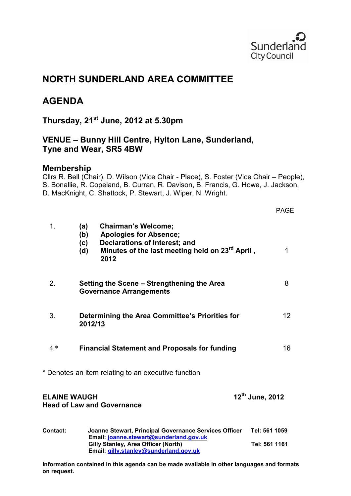

# **NORTH SUNDERLAND AREA COMMITTEE**

# **AGENDA**

**Thursday, 21st June, 2012 at 5.30pm** 

# **VENUE – Bunny Hill Centre, Hylton Lane, Sunderland, Tyne and Wear, SR5 4BW**

# **Membership**

Cllrs R. Bell (Chair), D. Wilson (Vice Chair - Place), S. Foster (Vice Chair – People), S. Bonallie, R. Copeland, B. Curran, R. Davison, B. Francis, G. Howe, J. Jackson, D. MacKnight, C. Shattock, P. Stewart, J. Wiper, N. Wright.

|                     |                                                                                                                                                                                                        | <b>PAGE</b>     |
|---------------------|--------------------------------------------------------------------------------------------------------------------------------------------------------------------------------------------------------|-----------------|
| 1 <sub>1</sub>      | <b>Chairman's Welcome;</b><br>(a)<br><b>Apologies for Absence;</b><br>(b)<br><b>Declarations of Interest; and</b><br>(c)<br>Minutes of the last meeting held on 23 <sup>rd</sup> April,<br>(d)<br>2012 | 1               |
| 2.                  | Setting the Scene – Strengthening the Area<br><b>Governance Arrangements</b>                                                                                                                           | 8               |
| 3.                  | Determining the Area Committee's Priorities for<br>2012/13                                                                                                                                             | 12              |
| $4.*$               | <b>Financial Statement and Proposals for funding</b>                                                                                                                                                   | 16              |
|                     | * Denotes an item relating to an executive function                                                                                                                                                    |                 |
| <b>ELAINE WAUGH</b> | <b>Head of Law and Governance</b>                                                                                                                                                                      | 12th June, 2012 |
| Contact:            | Joanne Stewart, Principal Governance Services Officer<br>Email: joanne.stewart@sunderland.gov.uk                                                                                                       | Tel: 561 1059   |
|                     | Gilly Stanley, Area Officer (North)<br>Email: gilly.stanley@sunderland.gov.uk                                                                                                                          | Tel: 561 1161   |

**Information contained in this agenda can be made available in other languages and formats on request.**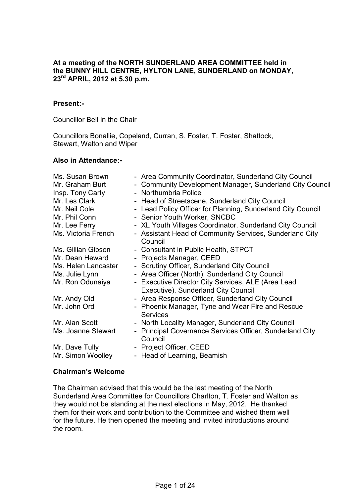#### **At a meeting of the NORTH SUNDERLAND AREA COMMITTEE held in the BUNNY HILL CENTRE, HYLTON LANE, SUNDERLAND on MONDAY, 23rd APRIL, 2012 at 5.30 p.m.**

#### **Present:-**

Councillor Bell in the Chair

Councillors Bonallie, Copeland, Curran, S. Foster, T. Foster, Shattock, Stewart, Walton and Wiper

#### **Also in Attendance:-**

| Ms. Susan Brown<br>Mr. Graham Burt<br>Insp. Tony Carty<br>Mr. Les Clark<br>Mr. Neil Cole<br>Mr. Phil Conn<br>Mr. Lee Ferry<br>Ms. Victoria French | - Area Community Coordinator, Sunderland City Council<br>- Community Development Manager, Sunderland City Council<br>- Northumbria Police<br>- Head of Streetscene, Sunderland City Council<br>- Lead Policy Officer for Planning, Sunderland City Council<br>- Senior Youth Worker, SNCBC<br>- XL Youth Villages Coordinator, Sunderland City Council<br>- Assistant Head of Community Services, Sunderland City<br>Council |
|---------------------------------------------------------------------------------------------------------------------------------------------------|------------------------------------------------------------------------------------------------------------------------------------------------------------------------------------------------------------------------------------------------------------------------------------------------------------------------------------------------------------------------------------------------------------------------------|
| Ms. Gillian Gibson                                                                                                                                | - Consultant in Public Health, STPCT                                                                                                                                                                                                                                                                                                                                                                                         |
| Mr. Dean Heward                                                                                                                                   | - Projects Manager, CEED                                                                                                                                                                                                                                                                                                                                                                                                     |
| Ms. Helen Lancaster                                                                                                                               | - Scrutiny Officer, Sunderland City Council                                                                                                                                                                                                                                                                                                                                                                                  |
| Ms. Julie Lynn                                                                                                                                    | - Area Officer (North), Sunderland City Council                                                                                                                                                                                                                                                                                                                                                                              |
| Mr. Ron Odunaiya                                                                                                                                  | - Executive Director City Services, ALE (Area Lead<br>Executive), Sunderland City Council                                                                                                                                                                                                                                                                                                                                    |
| Mr. Andy Old                                                                                                                                      | - Area Response Officer, Sunderland City Council                                                                                                                                                                                                                                                                                                                                                                             |
| Mr. John Ord                                                                                                                                      | - Phoenix Manager, Tyne and Wear Fire and Rescue<br><b>Services</b>                                                                                                                                                                                                                                                                                                                                                          |
| Mr. Alan Scott                                                                                                                                    | - North Locality Manager, Sunderland City Council                                                                                                                                                                                                                                                                                                                                                                            |
| Ms. Joanne Stewart                                                                                                                                | Principal Governance Services Officer, Sunderland City<br>$\blacksquare$<br>Council                                                                                                                                                                                                                                                                                                                                          |
| Mr. Dave Tully                                                                                                                                    | - Project Officer, CEED                                                                                                                                                                                                                                                                                                                                                                                                      |
| Mr. Simon Woolley                                                                                                                                 | - Head of Learning, Beamish                                                                                                                                                                                                                                                                                                                                                                                                  |

## **Chairman's Welcome**

The Chairman advised that this would be the last meeting of the North Sunderland Area Committee for Councillors Charlton, T. Foster and Walton as they would not be standing at the next elections in May, 2012. He thanked them for their work and contribution to the Committee and wished them well for the future. He then opened the meeting and invited introductions around the room.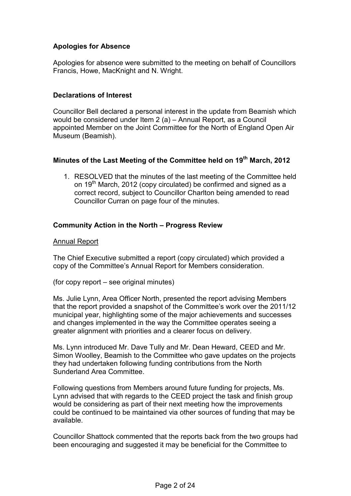# **Apologies for Absence**

Apologies for absence were submitted to the meeting on behalf of Councillors Francis, Howe, MacKnight and N. Wright.

# **Declarations of Interest**

Councillor Bell declared a personal interest in the update from Beamish which would be considered under Item 2 (a) – Annual Report, as a Council appointed Member on the Joint Committee for the North of England Open Air Museum (Beamish).

# **Minutes of the Last Meeting of the Committee held on 19th March, 2012**

1. RESOLVED that the minutes of the last meeting of the Committee held on 19th March, 2012 (copy circulated) be confirmed and signed as a correct record, subject to Councillor Charlton being amended to read Councillor Curran on page four of the minutes.

# **Community Action in the North – Progress Review**

### Annual Report

The Chief Executive submitted a report (copy circulated) which provided a copy of the Committee's Annual Report for Members consideration.

(for copy report – see original minutes)

Ms. Julie Lynn, Area Officer North, presented the report advising Members that the report provided a snapshot of the Committee's work over the 2011/12 municipal year, highlighting some of the major achievements and successes and changes implemented in the way the Committee operates seeing a greater alignment with priorities and a clearer focus on delivery.

Ms. Lynn introduced Mr. Dave Tully and Mr. Dean Heward, CEED and Mr. Simon Woolley, Beamish to the Committee who gave updates on the projects they had undertaken following funding contributions from the North Sunderland Area Committee.

Following questions from Members around future funding for projects, Ms. Lynn advised that with regards to the CEED project the task and finish group would be considering as part of their next meeting how the improvements could be continued to be maintained via other sources of funding that may be available.

Councillor Shattock commented that the reports back from the two groups had been encouraging and suggested it may be beneficial for the Committee to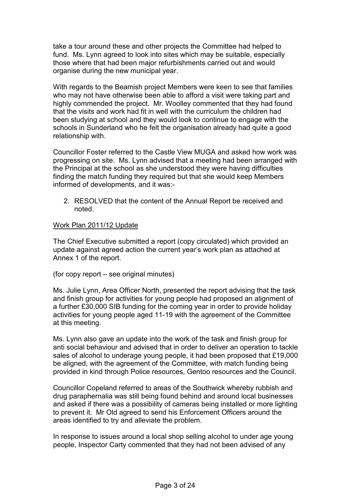take a tour around these and other projects the Committee had helped to fund. Ms. Lynn agreed to look into sites which may be suitable, especially those where that had been major refurbishments carried out and would organise during the new municipal year.

With regards to the Beamish project Members were keen to see that families who may not have otherwise been able to afford a visit were taking part and highly commended the project. Mr. Woolley commented that they had found that the visits and work had fit in well with the curriculum the children had been studying at school and they would look to continue to engage with the schools in Sunderland who he felt the organisation already had quite a good relationship with.

Councillor Foster referred to the Castle View MUGA and asked how work was progressing on site. Ms. Lynn advised that a meeting had been arranged with the Principal at the school as she understood they were having difficulties finding the match funding they required but that she would keep Members informed of developments, and it was:-

2. RESOLVED that the content of the Annual Report be received and noted.

## Work Plan 2011/12 Update

The Chief Executive submitted a report (copy circulated) which provided an update against agreed action the current year's work plan as attached at Annex 1 of the report.

(for copy report – see original minutes)

Ms. Julie Lynn, Area Officer North, presented the report advising that the task and finish group for activities for young people had proposed an alignment of a further £30,000 SIB funding for the coming year in order to provide holiday activities for young people aged 11-19 with the agreement of the Committee at this meeting.

Ms. Lynn also gave an update into the work of the task and finish group for anti social behaviour and advised that in order to deliver an operation to tackle sales of alcohol to underage young people, it had been proposed that £19,000 be aligned, with the agreement of the Committee, with match funding being provided in kind through Police resources, Gentoo resources and the Council.

Councillor Copeland referred to areas of the Southwick whereby rubbish and drug paraphernalia was still being found behind and around local businesses and asked if there was a possibility of cameras being installed or more lighting to prevent it. Mr Old agreed to send his Enforcement Officers around the areas identified to try and alleviate the problem.

In response to issues around a local shop selling alcohol to under age young people, Inspector Carty commented that they had not been advised of any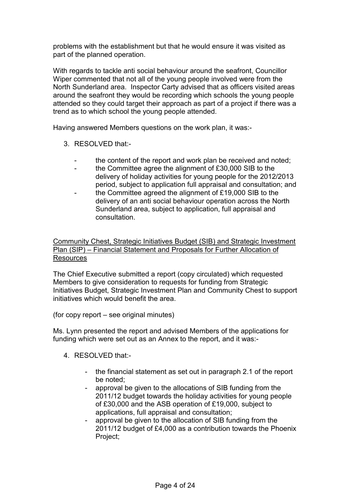problems with the establishment but that he would ensure it was visited as part of the planned operation.

With regards to tackle anti social behaviour around the seafront, Councillor Wiper commented that not all of the young people involved were from the North Sunderland area. Inspector Carty advised that as officers visited areas around the seafront they would be recording which schools the young people attended so they could target their approach as part of a project if there was a trend as to which school the young people attended.

Having answered Members questions on the work plan, it was:-

- 3. RESOLVED that:
	- the content of the report and work plan be received and noted;
	- the Committee agree the alignment of £30,000 SIB to the delivery of holiday activities for young people for the 2012/2013 period, subject to application full appraisal and consultation; and
	- the Committee agreed the alignment of £19,000 SIB to the delivery of an anti social behaviour operation across the North Sunderland area, subject to application, full appraisal and consultation.

Community Chest, Strategic Initiatives Budget (SIB) and Strategic Investment Plan (SIP) – Financial Statement and Proposals for Further Allocation of **Resources** 

The Chief Executive submitted a report (copy circulated) which requested Members to give consideration to requests for funding from Strategic Initiatives Budget, Strategic Investment Plan and Community Chest to support initiatives which would benefit the area.

(for copy report – see original minutes)

Ms. Lynn presented the report and advised Members of the applications for funding which were set out as an Annex to the report, and it was:-

- 4. RESOLVED that:-
	- the financial statement as set out in paragraph 2.1 of the report be noted;
	- approval be given to the allocations of SIB funding from the 2011/12 budget towards the holiday activities for young people of £30,000 and the ASB operation of £19,000, subject to applications, full appraisal and consultation;
	- approval be given to the allocation of SIB funding from the 2011/12 budget of £4,000 as a contribution towards the Phoenix Project;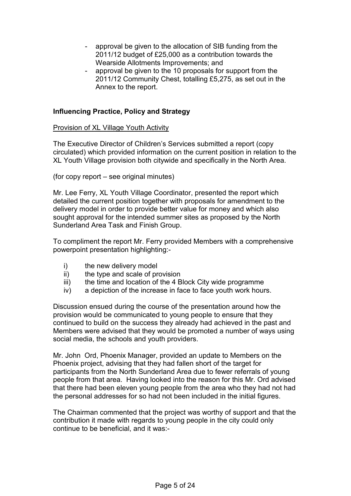- approval be given to the allocation of SIB funding from the 2011/12 budget of £25,000 as a contribution towards the Wearside Allotments Improvements; and
- approval be given to the 10 proposals for support from the 2011/12 Community Chest, totalling £5,275, as set out in the Annex to the report.

## **Influencing Practice, Policy and Strategy**

Provision of XL Village Youth Activity

The Executive Director of Children's Services submitted a report (copy circulated) which provided information on the current position in relation to the XL Youth Village provision both citywide and specifically in the North Area.

(for copy report – see original minutes)

Mr. Lee Ferry, XL Youth Village Coordinator, presented the report which detailed the current position together with proposals for amendment to the delivery model in order to provide better value for money and which also sought approval for the intended summer sites as proposed by the North Sunderland Area Task and Finish Group.

To compliment the report Mr. Ferry provided Members with a comprehensive powerpoint presentation highlighting:-

- i) the new delivery model<br>ii) the type and scale of pr
- the type and scale of provision
- iii) the time and location of the 4 Block City wide programme
- iv) a depiction of the increase in face to face youth work hours.

Discussion ensued during the course of the presentation around how the provision would be communicated to young people to ensure that they continued to build on the success they already had achieved in the past and Members were advised that they would be promoted a number of ways using social media, the schools and youth providers.

Mr. John Ord, Phoenix Manager, provided an update to Members on the Phoenix project, advising that they had fallen short of the target for participants from the North Sunderland Area due to fewer referrals of young people from that area. Having looked into the reason for this Mr. Ord advised that there had been eleven young people from the area who they had not had the personal addresses for so had not been included in the initial figures.

The Chairman commented that the project was worthy of support and that the contribution it made with regards to young people in the city could only continue to be beneficial, and it was:-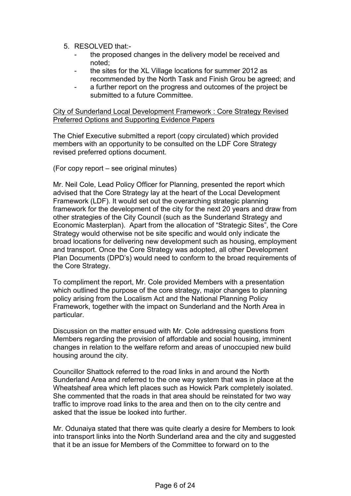- 5. RESOLVED that:
	- the proposed changes in the delivery model be received and noted;
	- the sites for the XL Village locations for summer 2012 as recommended by the North Task and Finish Grou be agreed; and
	- a further report on the progress and outcomes of the project be submitted to a future Committee.

City of Sunderland Local Development Framework : Core Strategy Revised Preferred Options and Supporting Evidence Papers

The Chief Executive submitted a report (copy circulated) which provided members with an opportunity to be consulted on the LDF Core Strategy revised preferred options document.

(For copy report – see original minutes)

Mr. Neil Cole, Lead Policy Officer for Planning, presented the report which advised that the Core Strategy lay at the heart of the Local Development Framework (LDF). It would set out the overarching strategic planning framework for the development of the city for the next 20 years and draw from other strategies of the City Council (such as the Sunderland Strategy and Economic Masterplan). Apart from the allocation of "Strategic Sites", the Core Strategy would otherwise not be site specific and would only indicate the broad locations for delivering new development such as housing, employment and transport. Once the Core Strategy was adopted, all other Development Plan Documents (DPD's) would need to conform to the broad requirements of the Core Strategy.

To compliment the report, Mr. Cole provided Members with a presentation which outlined the purpose of the core strategy, major changes to planning policy arising from the Localism Act and the National Planning Policy Framework, together with the impact on Sunderland and the North Area in particular.

Discussion on the matter ensued with Mr. Cole addressing questions from Members regarding the provision of affordable and social housing, imminent changes in relation to the welfare reform and areas of unoccupied new build housing around the city.

Councillor Shattock referred to the road links in and around the North Sunderland Area and referred to the one way system that was in place at the Wheatsheaf area which left places such as Howick Park completely isolated. She commented that the roads in that area should be reinstated for two way traffic to improve road links to the area and then on to the city centre and asked that the issue be looked into further.

Mr. Odunaiya stated that there was quite clearly a desire for Members to look into transport links into the North Sunderland area and the city and suggested that it be an issue for Members of the Committee to forward on to the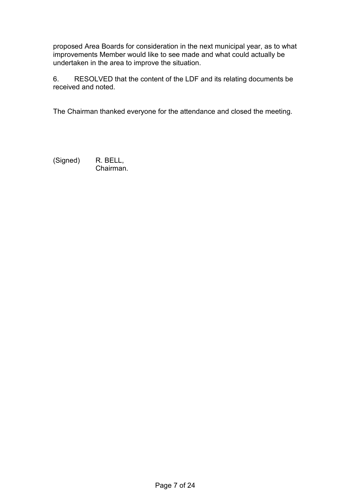proposed Area Boards for consideration in the next municipal year, as to what improvements Member would like to see made and what could actually be undertaken in the area to improve the situation.

6. RESOLVED that the content of the LDF and its relating documents be received and noted.

The Chairman thanked everyone for the attendance and closed the meeting.

(Signed) R. BELL, Chairman.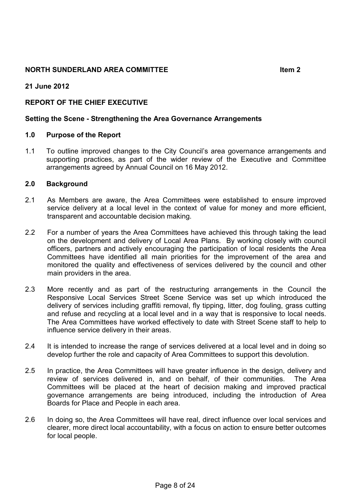## **NORTH SUNDERLAND AREA COMMITTEE 1999 11:00 11:00 11:00 11:00 11:00 11:00 11:00 11:00 11:00 11:00 11:00 11:00 11:00 11:00 11:00 11:00 11:00 11:00 11:00 11:00 11:00 11:00 11:00 11:00 11:00 11:00 11:00 11:00 11:00 11:00 11:0**

### **21 June 2012**

# **REPORT OF THE CHIEF EXECUTIVE**

#### **Setting the Scene - Strengthening the Area Governance Arrangements**

#### **1.0 Purpose of the Report**

1.1 To outline improved changes to the City Council's area governance arrangements and supporting practices, as part of the wider review of the Executive and Committee arrangements agreed by Annual Council on 16 May 2012.

#### **2.0 Background**

- 2.1 As Members are aware, the Area Committees were established to ensure improved service delivery at a local level in the context of value for money and more efficient, transparent and accountable decision making.
- 2.2 For a number of years the Area Committees have achieved this through taking the lead on the development and delivery of Local Area Plans. By working closely with council officers, partners and actively encouraging the participation of local residents the Area Committees have identified all main priorities for the improvement of the area and monitored the quality and effectiveness of services delivered by the council and other main providers in the area.
- 2.3 More recently and as part of the restructuring arrangements in the Council the Responsive Local Services Street Scene Service was set up which introduced the delivery of services including graffiti removal, fly tipping, litter, dog fouling, grass cutting and refuse and recycling at a local level and in a way that is responsive to local needs. The Area Committees have worked effectively to date with Street Scene staff to help to influence service delivery in their areas.
- 2.4 It is intended to increase the range of services delivered at a local level and in doing so develop further the role and capacity of Area Committees to support this devolution.
- 2.5 In practice, the Area Committees will have greater influence in the design, delivery and review of services delivered in, and on behalf, of their communities. The Area Committees will be placed at the heart of decision making and improved practical governance arrangements are being introduced, including the introduction of Area Boards for Place and People in each area.
- 2.6 In doing so, the Area Committees will have real, direct influence over local services and clearer, more direct local accountability, with a focus on action to ensure better outcomes for local people.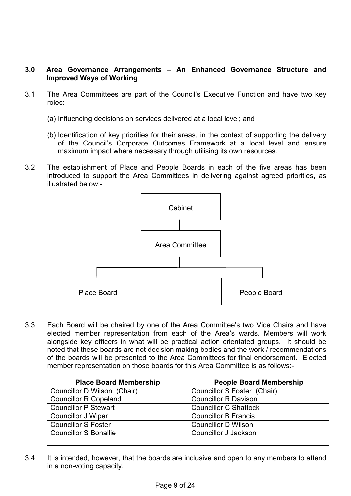## **3.0 Area Governance Arrangements – An Enhanced Governance Structure and Improved Ways of Working**

- 3.1 The Area Committees are part of the Council's Executive Function and have two key roles:-
	- (a) Influencing decisions on services delivered at a local level; and
	- (b) Identification of key priorities for their areas, in the context of supporting the delivery of the Council's Corporate Outcomes Framework at a local level and ensure maximum impact where necessary through utilising its own resources.
- 3.2 The establishment of Place and People Boards in each of the five areas has been introduced to support the Area Committees in delivering against agreed priorities, as illustrated below:-



3.3 Each Board will be chaired by one of the Area Committee's two Vice Chairs and have elected member representation from each of the Area's wards. Members will work alongside key officers in what will be practical action orientated groups. It should be noted that these boards are not decision making bodies and the work / recommendations of the boards will be presented to the Area Committees for final endorsement. Elected member representation on those boards for this Area Committee is as follows:-

| <b>Place Board Membership</b> | <b>People Board Membership</b> |
|-------------------------------|--------------------------------|
| Councillor D Wilson (Chair)   | Councillor S Foster (Chair)    |
| <b>Councillor R Copeland</b>  | <b>Councillor R Davison</b>    |
| <b>Councillor P Stewart</b>   | <b>Councillor C Shattock</b>   |
| Councillor J Wiper            | <b>Councillor B Francis</b>    |
| <b>Councillor S Foster</b>    | <b>Councillor D Wilson</b>     |
| <b>Councillor S Bonallie</b>  | Councillor J Jackson           |
|                               |                                |

3.4 It is intended, however, that the boards are inclusive and open to any members to attend in a non-voting capacity.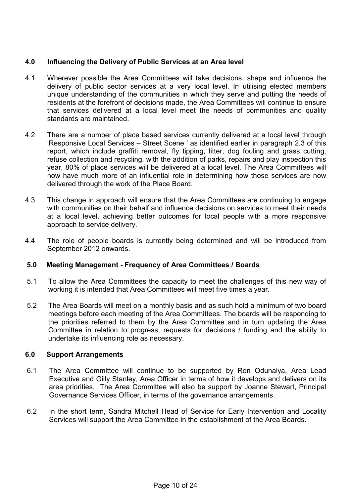## **4.0 Influencing the Delivery of Public Services at an Area level**

- 4.1 Wherever possible the Area Committees will take decisions, shape and influence the delivery of public sector services at a very local level. In utilising elected members unique understanding of the communities in which they serve and putting the needs of residents at the forefront of decisions made, the Area Committees will continue to ensure that services delivered at a local level meet the needs of communities and quality standards are maintained.
- 4.2 There are a number of place based services currently delivered at a local level through 'Responsive Local Services – Street Scene ' as identified earlier in paragraph 2.3 of this report, which include graffiti removal, fly tipping, litter, dog fouling and grass cutting, refuse collection and recycling, with the addition of parks, repairs and play inspection this year, 80% of place services will be delivered at a local level. The Area Committees will now have much more of an influential role in determining how those services are now delivered through the work of the Place Board.
- 4.3 This change in approach will ensure that the Area Committees are continuing to engage with communities on their behalf and influence decisions on services to meet their needs at a local level, achieving better outcomes for local people with a more responsive approach to service delivery.
- 4.4 The role of people boards is currently being determined and will be introduced from September 2012 onwards.

# **5.0 Meeting Management - Frequency of Area Committees / Boards**

- 5.1 To allow the Area Committees the capacity to meet the challenges of this new way of working it is intended that Area Committees will meet five times a year.
- 5.2 The Area Boards will meet on a monthly basis and as such hold a minimum of two board meetings before each meeting of the Area Committees. The boards will be responding to the priorities referred to them by the Area Committee and in turn updating the Area Committee in relation to progress, requests for decisions / funding and the ability to undertake its influencing role as necessary.

### **6.0 Support Arrangements**

- 6.1 The Area Committee will continue to be supported by Ron Odunaiya, Area Lead Executive and Gilly Stanley, Area Officer in terms of how it develops and delivers on its area priorities. The Area Committee will also be support by Joanne Stewart, Principal Governance Services Officer, in terms of the governance arrangements.
- 6.2 In the short term, Sandra Mitchell Head of Service for Early Intervention and Locality Services will support the Area Committee in the establishment of the Area Boards.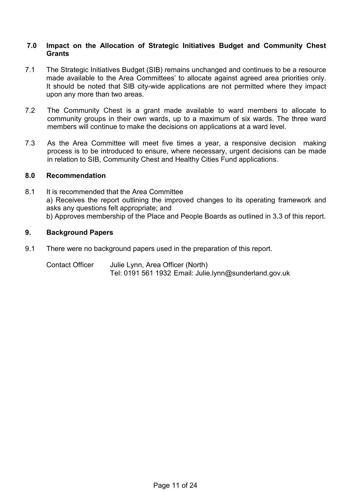#### **7.0 Impact on the Allocation of Strategic Initiatives Budget and Community Chest Grants**

- 7.1 The Strategic Initiatives Budget (SIB) remains unchanged and continues to be a resource made available to the Area Committees' to allocate against agreed area priorities only. It should be noted that SIB city-wide applications are not permitted where they impact upon any more than two areas.
- 7.2 The Community Chest is a grant made available to ward members to allocate to community groups in their own wards, up to a maximum of six wards. The three ward members will continue to make the decisions on applications at a ward level.
- 7.3 As the Area Committee will meet five times a year, a responsive decision making process is to be introduced to ensure, where necessary, urgent decisions can be made in relation to SIB, Community Chest and Healthy Cities Fund applications.

### **8.0 Recommendation**

8.1 It is recommended that the Area Committee a) Receives the report outlining the improved changes to its operating framework and asks any questions felt appropriate; and b) Approves membership of the Place and People Boards as outlined in 3.3 of this report.

## **9. Background Papers**

9.1 There were no background papers used in the preparation of this report.

Contact Officer Julie Lynn, Area Officer (North) Tel: 0191 561 1932 Email: Julie.lynn@sunderland.gov.uk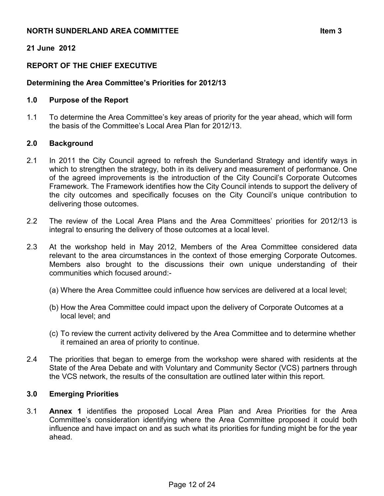### **NORTH SUNDERLAND AREA COMMITTEE AND SUNDERLAND AREA COMMITTEE**

# **21 June 2012**

# **REPORT OF THE CHIEF EXECUTIVE**

# **Determining the Area Committee's Priorities for 2012/13**

### **1.0 Purpose of the Report**

1.1 To determine the Area Committee's key areas of priority for the year ahead, which will form the basis of the Committee's Local Area Plan for 2012/13.

### **2.0 Background**

- 2.1 In 2011 the City Council agreed to refresh the Sunderland Strategy and identify ways in which to strengthen the strategy, both in its delivery and measurement of performance. One of the agreed improvements is the introduction of the City Council's Corporate Outcomes Framework. The Framework identifies how the City Council intends to support the delivery of the city outcomes and specifically focuses on the City Council's unique contribution to delivering those outcomes.
- 2.2 The review of the Local Area Plans and the Area Committees' priorities for 2012/13 is integral to ensuring the delivery of those outcomes at a local level.
- 2.3 At the workshop held in May 2012, Members of the Area Committee considered data relevant to the area circumstances in the context of those emerging Corporate Outcomes. Members also brought to the discussions their own unique understanding of their communities which focused around:-
	- (a) Where the Area Committee could influence how services are delivered at a local level;
	- (b) How the Area Committee could impact upon the delivery of Corporate Outcomes at a local level; and
	- (c) To review the current activity delivered by the Area Committee and to determine whether it remained an area of priority to continue.
- 2.4 The priorities that began to emerge from the workshop were shared with residents at the State of the Area Debate and with Voluntary and Community Sector (VCS) partners through the VCS network, the results of the consultation are outlined later within this report.

### **3.0 Emerging Priorities**

3.1 **Annex 1** identifies the proposed Local Area Plan and Area Priorities for the Area Committee's consideration identifying where the Area Committee proposed it could both influence and have impact on and as such what its priorities for funding might be for the year ahead.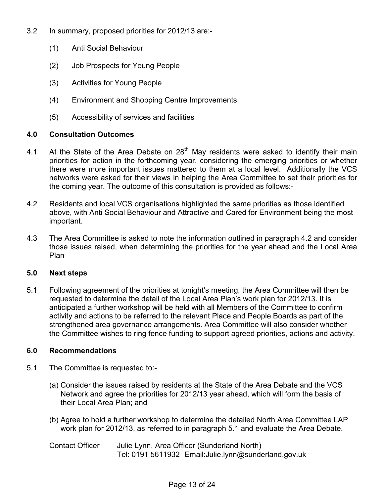- 3.2 In summary, proposed priorities for 2012/13 are:-
	- (1) Anti Social Behaviour
	- (2) Job Prospects for Young People
	- (3) Activities for Young People
	- (4) Environment and Shopping Centre Improvements
	- (5) Accessibility of services and facilities

## **4.0 Consultation Outcomes**

- 4.1 At the State of the Area Debate on  $28<sup>th</sup>$  May residents were asked to identify their main priorities for action in the forthcoming year, considering the emerging priorities or whether there were more important issues mattered to them at a local level. Additionally the VCS networks were asked for their views in helping the Area Committee to set their priorities for the coming year. The outcome of this consultation is provided as follows:-
- 4.2 Residents and local VCS organisations highlighted the same priorities as those identified above, with Anti Social Behaviour and Attractive and Cared for Environment being the most important.
- 4.3 The Area Committee is asked to note the information outlined in paragraph 4.2 and consider those issues raised, when determining the priorities for the year ahead and the Local Area Plan

### **5.0 Next steps**

5.1 Following agreement of the priorities at tonight's meeting, the Area Committee will then be requested to determine the detail of the Local Area Plan's work plan for 2012/13. It is anticipated a further workshop will be held with all Members of the Committee to confirm activity and actions to be referred to the relevant Place and People Boards as part of the strengthened area governance arrangements. Area Committee will also consider whether the Committee wishes to ring fence funding to support agreed priorities, actions and activity.

# **6.0 Recommendations**

- 5.1 The Committee is requested to:-
	- (a) Consider the issues raised by residents at the State of the Area Debate and the VCS Network and agree the priorities for 2012/13 year ahead, which will form the basis of their Local Area Plan; and
	- (b) Agree to hold a further workshop to determine the detailed North Area Committee LAP work plan for 2012/13, as referred to in paragraph 5.1 and evaluate the Area Debate.

Contact Officer Julie Lynn, Area Officer (Sunderland North) Tel: 0191 5611932 Email:Julie.lynn@sunderland.gov.uk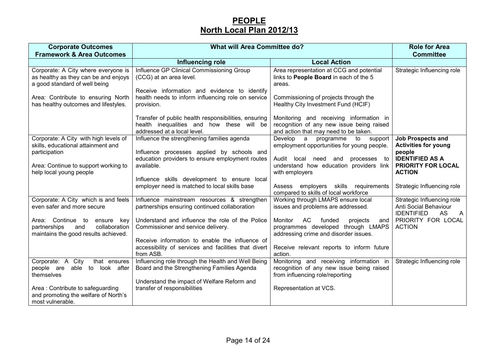# **PEOPLENorth Local Plan 2012/13**

| <b>Corporate Outcomes</b><br><b>Framework &amp; Area Outcomes</b>                                                  | <b>What will Area Committee do?</b>                                                                                              |                                                                                                                               | <b>Role for Area</b><br><b>Committee</b>                                                       |
|--------------------------------------------------------------------------------------------------------------------|----------------------------------------------------------------------------------------------------------------------------------|-------------------------------------------------------------------------------------------------------------------------------|------------------------------------------------------------------------------------------------|
|                                                                                                                    | Influencing role                                                                                                                 | <b>Local Action</b>                                                                                                           |                                                                                                |
| Corporate: A City where everyone is<br>as healthy as they can be and enjoys<br>a good standard of well being       | Influence GP Clinical Commissioning Group<br>(CCG) at an area level.<br>Receive information and evidence to identify             | Area representation at CCG and potential<br>links to People Board in each of the 5<br>areas.                                  | Strategic Influencing role                                                                     |
| Area: Contribute to ensuring North<br>has healthy outcomes and lifestyles.                                         | health needs to inform influencing role on service<br>provision.                                                                 | Commissioning of projects through the<br>Healthy City Investment Fund (HCIF)                                                  |                                                                                                |
|                                                                                                                    | Transfer of public health responsibilities, ensuring<br>health inequalities and how these will be<br>addressed at a local level. | Monitoring and receiving information in<br>recognition of any new issue being raised<br>and action that may need to be taken. |                                                                                                |
| Corporate: A City with high levels of<br>skills, educational attainment and<br>participation                       | Influence the strengthening families agenda<br>Influence processes applied by schools and                                        | Develop<br>$\overline{a}$<br>to<br>support<br>programme<br>employment opportunities for young people.                         | <b>Job Prospects and</b><br><b>Activities for young</b><br>people                              |
| Area: Continue to support working to<br>help local young people                                                    | education providers to ensure employment routes<br>available.                                                                    | Audit local need and<br>processes to<br>understand how education providers link<br>with employers                             | <b>IDENTIFIED AS A</b><br>PRIORITY FOR LOCAL<br><b>ACTION</b>                                  |
|                                                                                                                    | Influence skills development to ensure local<br>employer need is matched to local skills base                                    | Assess employers skills requirements<br>compared to skills of local workforce                                                 | Strategic Influencing role                                                                     |
| Corporate: A City which is and feels<br>even safer and more secure                                                 | Influence mainstream resources & strengthen<br>partnerships ensuring continued collaboration                                     | Working through LMAPS ensure local<br>issues and problems are addressed.                                                      | Strategic Influencing role<br>Anti Social Behaviour<br><b>IDENTIFIED</b><br>AS<br>$\mathsf{A}$ |
| Area: Continue to<br>ensure<br>key<br>collaboration<br>partnerships<br>and<br>maintains the good results achieved. | Understand and influence the role of the Police<br>Commissioner and service delivery.                                            | AC<br>Monitor<br>funded<br>projects<br>and<br>programmes developed through LMAPS<br>addressing crime and disorder issues.     | PRIORITY FOR LOCAL<br><b>ACTION</b>                                                            |
|                                                                                                                    | Receive information to enable the influence of<br>accessibility of services and facilities that divert<br>from ASB.              | Receive relevant reports to inform future<br>action.                                                                          |                                                                                                |
| Corporate: A<br>City<br>that ensures<br>people are<br>able<br>to<br>look after<br>themselves                       | Influencing role through the Health and Well Being<br>Board and the Strengthening Families Agenda                                | Monitoring and receiving information in<br>recognition of any new issue being raised<br>from influencing role/reporting       | Strategic Influencing role                                                                     |
| Area: Contribute to safeguarding<br>and promoting the welfare of North's<br>most vulnerable.                       | Understand the impact of Welfare Reform and<br>transfer of responsibilities                                                      | Representation at VCS.                                                                                                        |                                                                                                |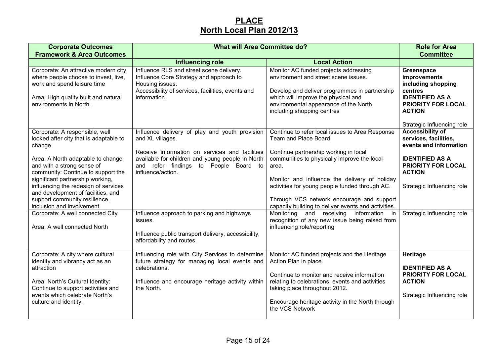# **PLACENorth Local Plan 2012/13**

| <b>Corporate Outcomes</b><br><b>Framework &amp; Area Outcomes</b>                                                                                                                                                                                                                                                                                                                                                                                | <b>What will Area Committee do?</b>                                                                                                                                                                                                                                                                                                                                                 | <b>Role for Area</b><br><b>Committee</b>                                                                                                                                                                                                                                                                                                                                                                                                                                                                            |                                                                                                                                                                                                         |
|--------------------------------------------------------------------------------------------------------------------------------------------------------------------------------------------------------------------------------------------------------------------------------------------------------------------------------------------------------------------------------------------------------------------------------------------------|-------------------------------------------------------------------------------------------------------------------------------------------------------------------------------------------------------------------------------------------------------------------------------------------------------------------------------------------------------------------------------------|---------------------------------------------------------------------------------------------------------------------------------------------------------------------------------------------------------------------------------------------------------------------------------------------------------------------------------------------------------------------------------------------------------------------------------------------------------------------------------------------------------------------|---------------------------------------------------------------------------------------------------------------------------------------------------------------------------------------------------------|
|                                                                                                                                                                                                                                                                                                                                                                                                                                                  | <b>Influencing role</b>                                                                                                                                                                                                                                                                                                                                                             | <b>Local Action</b>                                                                                                                                                                                                                                                                                                                                                                                                                                                                                                 |                                                                                                                                                                                                         |
| Corporate: An attractive modern city<br>where people choose to invest, live,<br>work and spend leisure time<br>Area: High quality built and natural<br>environments in North.                                                                                                                                                                                                                                                                    | Influence RLS and street scene delivery.<br>Influence Core Strategy and approach to<br>Housing issues.<br>Accessibility of services, facilities, events and<br>information                                                                                                                                                                                                          | Monitor AC funded projects addressing<br>environment and street scene issues.<br>Develop and deliver programmes in partnership<br>which will improve the physical and<br>environmental appearance of the North<br>including shopping centres                                                                                                                                                                                                                                                                        | Greenspace<br>improvements<br>including shopping<br>centres<br><b>IDENTIFIED AS A</b><br><b>PRIORITY FOR LOCAL</b><br><b>ACTION</b><br>Strategic Influencing role                                       |
| Corporate: A responsible, well<br>looked after city that is adaptable to<br>change<br>Area: A North adaptable to change<br>and with a strong sense of<br>community: Continue to support the<br>significant partnership working,<br>influencing the redesign of services<br>and development of facilities, and<br>support community resilience,<br>inclusion and involvement.<br>Corporate: A well connected City<br>Area: A well connected North | Influence delivery of play and youth provision<br>and XL villages.<br>Receive information on services and facilities<br>available for children and young people in North<br>and refer findings to People Board to<br>influence/action.<br>Influence approach to parking and highways<br>issues.<br>Influence public transport delivery, accessibility,<br>affordability and routes. | Continue to refer local issues to Area Response<br>Team and Place Board<br>Continue partnership working in local<br>communities to physically improve the local<br>area.<br>Monitor and influence the delivery of holiday<br>activities for young people funded through AC.<br>Through VCS network encourage and support<br>capacity building to deliver events and activities.<br>Monitoring<br>and receiving<br>information<br>in<br>recognition of any new issue being raised from<br>influencing role/reporting | <b>Accessibility of</b><br>services, facilities,<br>events and information<br><b>IDENTIFIED AS A</b><br>PRIORITY FOR LOCAL<br><b>ACTION</b><br>Strategic Influencing role<br>Strategic Influencing role |
| Corporate: A city where cultural<br>identity and vibrancy act as an<br>attraction<br>Area: North's Cultural Identity:<br>Continue to support activities and<br>events which celebrate North's<br>culture and identity.                                                                                                                                                                                                                           | Influencing role with City Services to determine<br>future strategy for managing local events and<br>celebrations.<br>Influence and encourage heritage activity within<br>the North.                                                                                                                                                                                                | Monitor AC funded projects and the Heritage<br>Action Plan in place.<br>Continue to monitor and receive information<br>relating to celebrations, events and activities<br>taking place throughout 2012.<br>Encourage heritage activity in the North through<br>the VCS Network                                                                                                                                                                                                                                      | Heritage<br><b>IDENTIFIED AS A</b><br><b>PRIORITY FOR LOCAL</b><br><b>ACTION</b><br>Strategic Influencing role                                                                                          |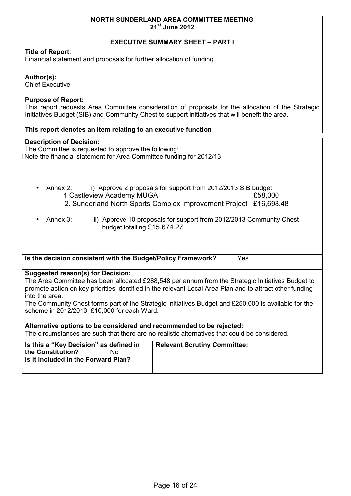#### **NORTH SUNDERLAND AREA COMMITTEE MEETING 21st June 2012**

#### **EXECUTIVE SUMMARY SHEET – PART I**

#### **Title of Report**:

Financial statement and proposals for further allocation of funding

#### **Author(s):**

Chief Executive

## **Purpose of Report:**

This report requests Area Committee consideration of proposals for the allocation of the Strategic Initiatives Budget (SIB) and Community Chest to support initiatives that will benefit the area.

#### **This report denotes an item relating to an executive function**

#### **Description of Decision:**

The Committee is requested to approve the following: Note the financial statement for Area Committee funding for 2012/13

- Annex 2: i) Approve 2 proposals for support from 2012/2013 SIB budget 1 Castleview Academy MUGA **E**58,000 2. Sunderland North Sports Complex Improvement Project £16,698.48
- Annex 3: ii) Approve 10 proposals for support from 2012/2013 Community Chest budget totalling £15,674.27

**Is the decision consistent with the Budget/Policy Framework?** Yes

#### **Suggested reason(s) for Decision:**

The Area Committee has been allocated £288,548 per annum from the Strategic Initiatives Budget to promote action on key priorities identified in the relevant Local Area Plan and to attract other funding into the area.

The Community Chest forms part of the Strategic Initiatives Budget and £250,000 is available for the scheme in 2012/2013; £10,000 for each Ward.

**Alternative options to be considered and recommended to be rejected:**  The circumstances are such that there are no realistic alternatives that could be considered.

| Is this a "Key Decision" as defined in<br>the Constitution?<br>N٥<br>Is it included in the Forward Plan? | <b>Relevant Scrutiny Committee:</b> |
|----------------------------------------------------------------------------------------------------------|-------------------------------------|
|----------------------------------------------------------------------------------------------------------|-------------------------------------|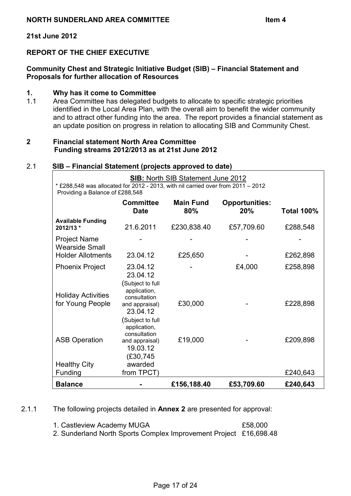#### **21st June 2012**

# **REPORT OF THE CHIEF EXECUTIVE**

## **Community Chest and Strategic Initiative Budget (SIB) – Financial Statement and Proposals for further allocation of Resources**

#### **1. Why has it come to Committee**

1.1 Area Committee has delegated budgets to allocate to specific strategic priorities identified in the Local Area Plan, with the overall aim to benefit the wider community and to attract other funding into the area. The report provides a financial statement as an update position on progress in relation to allocating SIB and Community Chest.

#### **2 Financial statement North Area Committee Funding streams 2012/2013 as at 21st June 2012**

#### 2.1 **SIB – Financial Statement (projects approved to date)**

| <b>SIB: North SIB Statement June 2012</b><br>* £288,548 was allocated for 2012 - 2013, with nil carried over from 2011 - 2012<br>Providing a Balance of £288,548 |                                                                                           |                         |                              |                   |  |
|------------------------------------------------------------------------------------------------------------------------------------------------------------------|-------------------------------------------------------------------------------------------|-------------------------|------------------------------|-------------------|--|
|                                                                                                                                                                  | <b>Committee</b><br><b>Date</b>                                                           | <b>Main Fund</b><br>80% | <b>Opportunities:</b><br>20% | <b>Total 100%</b> |  |
| <b>Available Funding</b><br>2012/13 *                                                                                                                            | 21.6.2011                                                                                 | £230,838.40             | £57,709.60                   | £288,548          |  |
| <b>Project Name</b><br><b>Wearside Small</b>                                                                                                                     |                                                                                           |                         |                              |                   |  |
| <b>Holder Allotments</b>                                                                                                                                         | 23.04.12                                                                                  | £25,650                 |                              | £262,898          |  |
| <b>Phoenix Project</b>                                                                                                                                           | 23.04.12<br>23.04.12<br>Subject to full)                                                  |                         | £4,000                       | £258,898          |  |
| <b>Holiday Activities</b><br>for Young People                                                                                                                    | application,<br>consultation<br>and appraisal)<br>23.04.12                                | £30,000                 |                              | £228,898          |  |
| <b>ASB Operation</b>                                                                                                                                             | Subject to full<br>application,<br>consultation<br>and appraisal)<br>19.03.12<br>(£30,745 | £19,000                 |                              | £209,898          |  |
| <b>Healthy City</b><br>Funding                                                                                                                                   | awarded<br>from TPCT)                                                                     |                         |                              | £240,643          |  |
| <b>Balance</b>                                                                                                                                                   |                                                                                           | £156,188.40             | £53,709.60                   | £240,643          |  |

2.1.1 The following projects detailed in **Annex 2** are presented for approval:

| 1. Castleview Academy MUGA                                        | £58,000 |
|-------------------------------------------------------------------|---------|
| 2. Sunderland North Sports Complex Improvement Project £16,698.48 |         |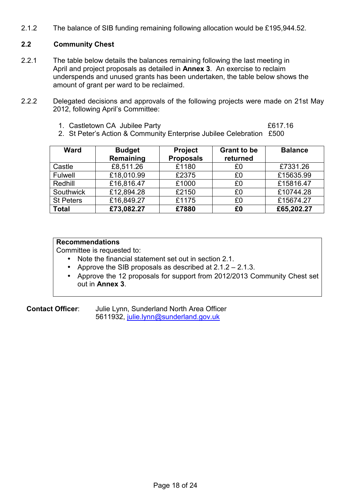2.1.2 The balance of SIB funding remaining following allocation would be £195,944.52.

## **2.2 Community Chest**

- 2.2.1 The table below details the balances remaining following the last meeting in April and project proposals as detailed in **Annex 3**. An exercise to reclaim underspends and unused grants has been undertaken, the table below shows the amount of grant per ward to be reclaimed.
- 2.2.2 Delegated decisions and approvals of the following projects were made on 21st May 2012, following April's Committee:
	- 1. Castletown CA Jubilee Party **EXALL 2018** 2017.16

2. St Peter's Action & Community Enterprise Jubilee Celebration £500

| <b>Ward</b>      | <b>Budget</b><br>Remaining | <b>Project</b><br><b>Proposals</b> | <b>Grant to be</b><br>returned | <b>Balance</b> |
|------------------|----------------------------|------------------------------------|--------------------------------|----------------|
| Castle           | £8,511.26                  | £1180                              | £0                             | £7331.26       |
| Fulwell          | £18,010.99                 | £2375                              | £0                             | £15635.99      |
| Redhill          | £16,816.47                 | £1000                              | £0                             | £15816.47      |
| Southwick        | £12,894.28                 | £2150                              | £0                             | £10744.28      |
| <b>St Peters</b> | £16,849.27                 | £1175                              | £0                             | £15674.27      |
| <b>Total</b>     | £73,082.27                 | £7880                              | £0                             | £65,202.27     |

# **Recommendations**

Committee is requested to:

- Note the financial statement set out in section 2.1.
- Approve the SIB proposals as described at 2.1.2 2.1.3.
- Approve the 12 proposals for support from 2012/2013 Community Chest set out in **Annex 3**.

**Contact Officer**: Julie Lynn, Sunderland North Area Officer 5611932, [julie.lynn@sunderland.gov.uk](mailto:julie.lynn@sunderland.gov.uk)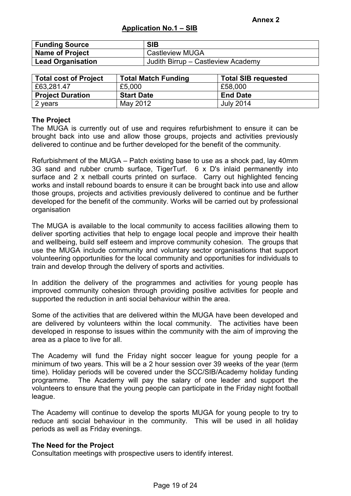| <b>Funding Source</b> | <b>SIB</b>                         |
|-----------------------|------------------------------------|
| Name of Project       | <sup>1</sup> Castleview MUGA       |
| Lead Organisation     | Judith Birrup - Castleview Academy |

| <b>Total cost of Project</b> | <b>Total Match Funding</b> | <b>Total SIB requested</b> |
|------------------------------|----------------------------|----------------------------|
| £63,281.47                   | £5,000                     | £58,000                    |
| <b>Project Duration</b>      | <b>Start Date</b>          | <b>End Date</b>            |
| 2 years                      | May 2012                   | <b>July 2014</b>           |

#### **The Project**

The MUGA is currently out of use and requires refurbishment to ensure it can be brought back into use and allow those groups, projects and activities previously delivered to continue and be further developed for the benefit of the community.

Refurbishment of the MUGA – Patch existing base to use as a shock pad, lay 40mm 3G sand and rubber crumb surface, TigerTurf. 6 x D's inlaid permanently into surface and 2 x netball courts printed on surface. Carry out highlighted fencing works and install rebound boards to ensure it can be brought back into use and allow those groups, projects and activities previously delivered to continue and be further developed for the benefit of the community. Works will be carried out by professional organisation

The MUGA is available to the local community to access facilities allowing them to deliver sporting activities that help to engage local people and improve their health and wellbeing, build self esteem and improve community cohesion. The groups that use the MUGA include community and voluntary sector organisations that support volunteering opportunities for the local community and opportunities for individuals to train and develop through the delivery of sports and activities.

In addition the delivery of the programmes and activities for young people has improved community cohesion through providing positive activities for people and supported the reduction in anti social behaviour within the area.

Some of the activities that are delivered within the MUGA have been developed and are delivered by volunteers within the local community. The activities have been developed in response to issues within the community with the aim of improving the area as a place to live for all.

The Academy will fund the Friday night soccer league for young people for a minimum of two years. This will be a 2 hour session over 39 weeks of the year (term time). Holiday periods will be covered under the SCC/SIB/Academy holiday funding programme. The Academy will pay the salary of one leader and support the volunteers to ensure that the young people can participate in the Friday night football league.

The Academy will continue to develop the sports MUGA for young people to try to reduce anti social behaviour in the community. This will be used in all holiday periods as well as Friday evenings.

#### **The Need for the Project**

Consultation meetings with prospective users to identify interest.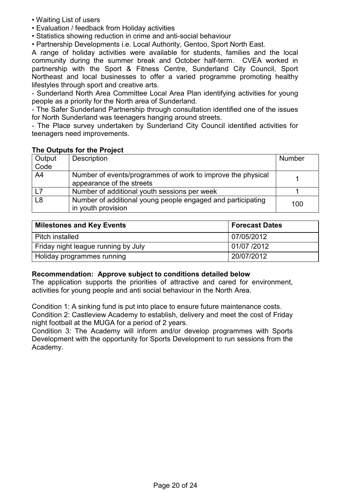- Waiting List of users
- Evaluation / feedback from Holiday activities
- Statistics showing reduction in crime and anti-social behaviour

• Partnership Developments i.e. Local Authority, Gentoo, Sport North East.

A range of holiday activities were available for students, families and the local community during the summer break and October half-term. CVEA worked in partnership with the Sport & Fitness Centre, Sunderland City Council, Sport Northeast and local businesses to offer a varied programme promoting healthy lifestyles through sport and creative arts.

- Sunderland North Area Committee Local Area Plan identifying activities for young people as a priority for the North area of Sunderland.

- The Safer Sunderland Partnership through consultation identified one of the issues for North Sunderland was teenagers hanging around streets.

- The Place survey undertaken by Sunderland City Council identified activities for teenagers need improvements.

| Output<br>Code | Description                                                                              | Number |
|----------------|------------------------------------------------------------------------------------------|--------|
| A4             | Number of events/programmes of work to improve the physical<br>appearance of the streets |        |
| L7             | Number of additional youth sessions per week                                             |        |
| L <sub>8</sub> | Number of additional young people engaged and participating<br>in youth provision        | 100    |

### **The Outputs for the Project**

| Milestones and Key Events           | <b>Forecast Dates</b> |
|-------------------------------------|-----------------------|
| Pitch installed                     | 07/05/2012            |
| Friday night league running by July | 01/07 /2012           |
| Holiday programmes running          | 20/07/2012            |

### **Recommendation: Approve subject to conditions detailed below**

The application supports the priorities of attractive and cared for environment, activities for young people and anti social behaviour in the North Area.

Condition 1: A sinking fund is put into place to ensure future maintenance costs. Condition 2: Castleview Academy to establish, delivery and meet the cost of Friday night football at the MUGA for a period of 2 years.

Condition 3: The Academy will inform and/or develop programmes with Sports Development with the opportunity for Sports Development to run sessions from the Academy.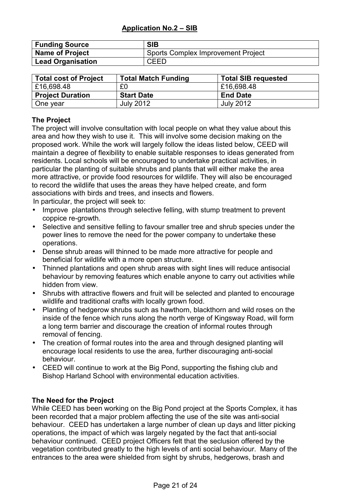| <b>Funding Source</b>    | <b>SIB</b>                         |
|--------------------------|------------------------------------|
| <b>Name of Project</b>   | Sports Complex Improvement Project |
| <b>Lead Organisation</b> | <b>CEED</b>                        |

| <b>Total cost of Project</b> | <b>Total Match Funding</b> | <b>Total SIB requested</b> |
|------------------------------|----------------------------|----------------------------|
| £16,698.48                   | £0                         | £16,698.48                 |
| <b>Project Duration</b>      | <b>Start Date</b>          | <b>End Date</b>            |
| One year                     | <b>July 2012</b>           | <b>July 2012</b>           |

# **The Project**

The project will involve consultation with local people on what they value about this area and how they wish to use it. This will involve some decision making on the proposed work. While the work will largely follow the ideas listed below, CEED will maintain a degree of flexibility to enable suitable responses to ideas generated from residents. Local schools will be encouraged to undertake practical activities, in particular the planting of suitable shrubs and plants that will either make the area more attractive, or provide food resources for wildlife. They will also be encouraged to record the wildlife that uses the areas they have helped create, and form associations with birds and trees, and insects and flowers.

In particular, the project will seek to:

- Improve plantations through selective felling, with stump treatment to prevent coppice re-growth.
- Selective and sensitive felling to favour smaller tree and shrub species under the power lines to remove the need for the power company to undertake these operations.
- Dense shrub areas will thinned to be made more attractive for people and beneficial for wildlife with a more open structure.
- Thinned plantations and open shrub areas with sight lines will reduce antisocial behaviour by removing features which enable anyone to carry out activities while hidden from view.
- Shrubs with attractive flowers and fruit will be selected and planted to encourage wildlife and traditional crafts with locally grown food.
- Planting of hedgerow shrubs such as hawthorn, blackthorn and wild roses on the inside of the fence which runs along the north verge of Kingsway Road, will form a long term barrier and discourage the creation of informal routes through removal of fencing.
- The creation of formal routes into the area and through designed planting will encourage local residents to use the area, further discouraging anti-social behaviour.
- CEED will continue to work at the Big Pond, supporting the fishing club and Bishop Harland School with environmental education activities.

# **The Need for the Project**

While CEED has been working on the Big Pond project at the Sports Complex, it has been recorded that a major problem affecting the use of the site was anti-social behaviour. CEED has undertaken a large number of clean up days and litter picking operations, the impact of which was largely negated by the fact that anti-social behaviour continued. CEED project Officers felt that the seclusion offered by the vegetation contributed greatly to the high levels of anti social behaviour. Many of the entrances to the area were shielded from sight by shrubs, hedgerows, brash and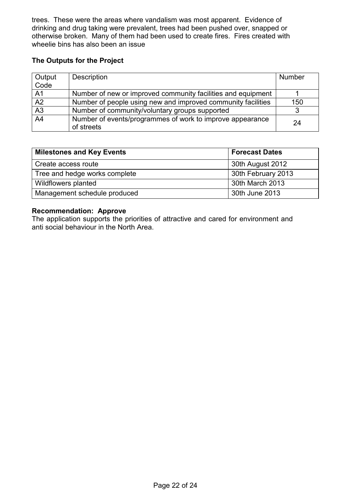trees. These were the areas where vandalism was most apparent. Evidence of drinking and drug taking were prevalent, trees had been pushed over, snapped or otherwise broken. Many of them had been used to create fires. Fires created with wheelie bins has also been an issue

## **The Outputs for the Project**

| Output         | <b>Description</b>                                           | <b>Number</b> |
|----------------|--------------------------------------------------------------|---------------|
| Code           |                                                              |               |
| A <sub>1</sub> | Number of new or improved community facilities and equipment |               |
| A2             | Number of people using new and improved community facilities | 150           |
| A3             | Number of community/voluntary groups supported               |               |
| A <sub>4</sub> | Number of events/programmes of work to improve appearance    | 24            |
|                | of streets                                                   |               |

| <b>Milestones and Key Events</b> | <b>Forecast Dates</b> |  |  |  |
|----------------------------------|-----------------------|--|--|--|
| Create access route              | 30th August 2012      |  |  |  |
| Tree and hedge works complete    | 30th February 2013    |  |  |  |
| Wildflowers planted              | 30th March 2013       |  |  |  |
| Management schedule produced     | 30th June 2013        |  |  |  |

## **Recommendation: Approve**

The application supports the priorities of attractive and cared for environment and anti social behaviour in the North Area.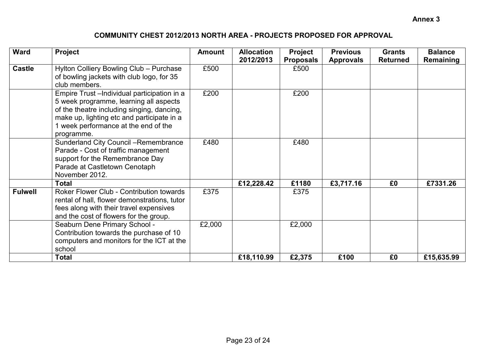# **COMMUNITY CHEST 2012/2013 NORTH AREA - PROJECTS PROPOSED FOR APPROVAL**

| <b>Ward</b>    | Project                                                                                                                                                                                                                                  | <b>Amount</b> | <b>Allocation</b><br>2012/2013 | <b>Project</b><br><b>Proposals</b> | <b>Previous</b><br><b>Approvals</b> | <b>Grants</b><br><b>Returned</b> | <b>Balance</b><br>Remaining |
|----------------|------------------------------------------------------------------------------------------------------------------------------------------------------------------------------------------------------------------------------------------|---------------|--------------------------------|------------------------------------|-------------------------------------|----------------------------------|-----------------------------|
| <b>Castle</b>  | Hylton Colliery Bowling Club - Purchase<br>of bowling jackets with club logo, for 35<br>club members.                                                                                                                                    | £500          |                                | £500                               |                                     |                                  |                             |
|                | Empire Trust - Individual participation in a<br>5 week programme, learning all aspects<br>of the theatre including singing, dancing,<br>make up, lighting etc and participate in a<br>1 week performance at the end of the<br>programme. | £200          |                                | £200                               |                                     |                                  |                             |
|                | <b>Sunderland City Council -Remembrance</b><br>Parade - Cost of traffic management<br>support for the Remembrance Day<br>Parade at Castletown Cenotaph<br>November 2012.                                                                 | £480          |                                | £480                               |                                     |                                  |                             |
|                | <b>Total</b>                                                                                                                                                                                                                             |               | £12,228.42                     | £1180                              | £3,717.16                           | £0                               | £7331.26                    |
| <b>Fulwell</b> | Roker Flower Club - Contribution towards<br>rental of hall, flower demonstrations, tutor<br>fees along with their travel expensives<br>and the cost of flowers for the group.                                                            | £375          |                                | £375                               |                                     |                                  |                             |
|                | Seaburn Dene Primary School -<br>Contribution towards the purchase of 10<br>computers and monitors for the ICT at the<br>school                                                                                                          | £2,000        |                                | £2,000                             |                                     |                                  |                             |
|                | <b>Total</b>                                                                                                                                                                                                                             |               | £18,110.99                     | £2,375                             | £100                                | £0                               | £15,635.99                  |